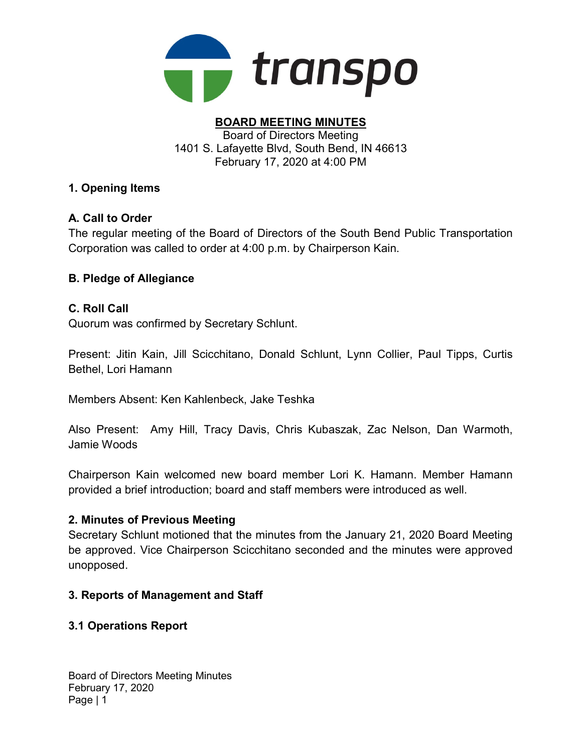

#### BOARD MEETING MINUTES Board of Directors Meeting 1401 S. Lafayette Blvd, South Bend, IN 46613 February 17, 2020 at 4:00 PM

## 1. Opening Items

# A. Call to Order

The regular meeting of the Board of Directors of the South Bend Public Transportation Corporation was called to order at 4:00 p.m. by Chairperson Kain.

# B. Pledge of Allegiance

## C. Roll Call

Quorum was confirmed by Secretary Schlunt.

Present: Jitin Kain, Jill Scicchitano, Donald Schlunt, Lynn Collier, Paul Tipps, Curtis Bethel, Lori Hamann

Members Absent: Ken Kahlenbeck, Jake Teshka

Also Present: Amy Hill, Tracy Davis, Chris Kubaszak, Zac Nelson, Dan Warmoth, Jamie Woods

Chairperson Kain welcomed new board member Lori K. Hamann. Member Hamann provided a brief introduction; board and staff members were introduced as well.

### 2. Minutes of Previous Meeting

Secretary Schlunt motioned that the minutes from the January 21, 2020 Board Meeting be approved. Vice Chairperson Scicchitano seconded and the minutes were approved unopposed.

## 3. Reports of Management and Staff

## 3.1 Operations Report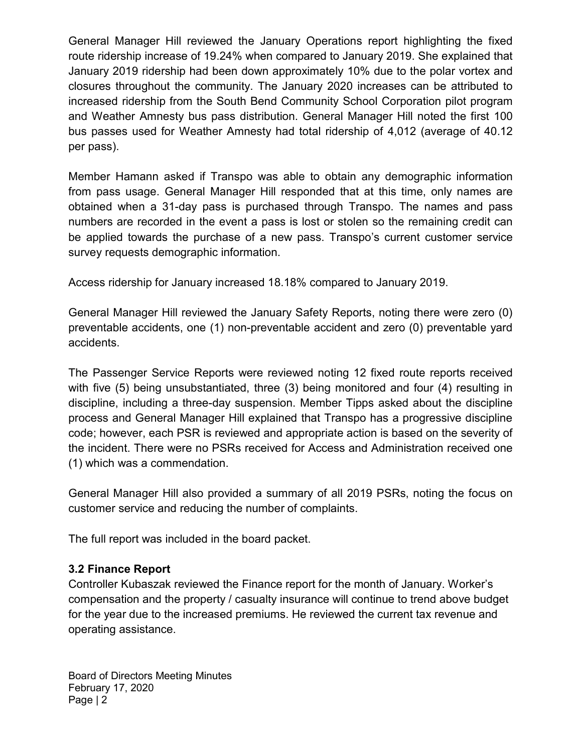General Manager Hill reviewed the January Operations report highlighting the fixed route ridership increase of 19.24% when compared to January 2019. She explained that January 2019 ridership had been down approximately 10% due to the polar vortex and closures throughout the community. The January 2020 increases can be attributed to increased ridership from the South Bend Community School Corporation pilot program and Weather Amnesty bus pass distribution. General Manager Hill noted the first 100 bus passes used for Weather Amnesty had total ridership of 4,012 (average of 40.12 per pass).

Member Hamann asked if Transpo was able to obtain any demographic information from pass usage. General Manager Hill responded that at this time, only names are obtained when a 31-day pass is purchased through Transpo. The names and pass numbers are recorded in the event a pass is lost or stolen so the remaining credit can be applied towards the purchase of a new pass. Transpo's current customer service survey requests demographic information.

Access ridership for January increased 18.18% compared to January 2019.

General Manager Hill reviewed the January Safety Reports, noting there were zero (0) preventable accidents, one (1) non-preventable accident and zero (0) preventable yard accidents.

The Passenger Service Reports were reviewed noting 12 fixed route reports received with five (5) being unsubstantiated, three (3) being monitored and four (4) resulting in discipline, including a three-day suspension. Member Tipps asked about the discipline process and General Manager Hill explained that Transpo has a progressive discipline code; however, each PSR is reviewed and appropriate action is based on the severity of the incident. There were no PSRs received for Access and Administration received one (1) which was a commendation.

General Manager Hill also provided a summary of all 2019 PSRs, noting the focus on customer service and reducing the number of complaints.

The full report was included in the board packet.

## 3.2 Finance Report

Controller Kubaszak reviewed the Finance report for the month of January. Worker's compensation and the property / casualty insurance will continue to trend above budget for the year due to the increased premiums. He reviewed the current tax revenue and operating assistance.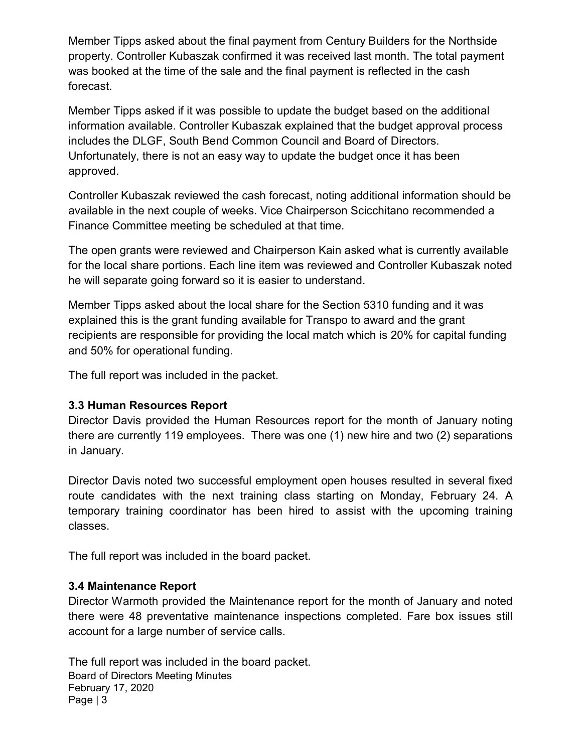Member Tipps asked about the final payment from Century Builders for the Northside property. Controller Kubaszak confirmed it was received last month. The total payment was booked at the time of the sale and the final payment is reflected in the cash forecast.

Member Tipps asked if it was possible to update the budget based on the additional information available. Controller Kubaszak explained that the budget approval process includes the DLGF, South Bend Common Council and Board of Directors. Unfortunately, there is not an easy way to update the budget once it has been approved.

Controller Kubaszak reviewed the cash forecast, noting additional information should be available in the next couple of weeks. Vice Chairperson Scicchitano recommended a Finance Committee meeting be scheduled at that time.

The open grants were reviewed and Chairperson Kain asked what is currently available for the local share portions. Each line item was reviewed and Controller Kubaszak noted he will separate going forward so it is easier to understand.

Member Tipps asked about the local share for the Section 5310 funding and it was explained this is the grant funding available for Transpo to award and the grant recipients are responsible for providing the local match which is 20% for capital funding and 50% for operational funding.

The full report was included in the packet.

## 3.3 Human Resources Report

Director Davis provided the Human Resources report for the month of January noting there are currently 119 employees. There was one (1) new hire and two (2) separations in January.

Director Davis noted two successful employment open houses resulted in several fixed route candidates with the next training class starting on Monday, February 24. A temporary training coordinator has been hired to assist with the upcoming training classes.

The full report was included in the board packet.

### 3.4 Maintenance Report

Director Warmoth provided the Maintenance report for the month of January and noted there were 48 preventative maintenance inspections completed. Fare box issues still account for a large number of service calls.

Board of Directors Meeting Minutes February 17, 2020 Page | 3 The full report was included in the board packet.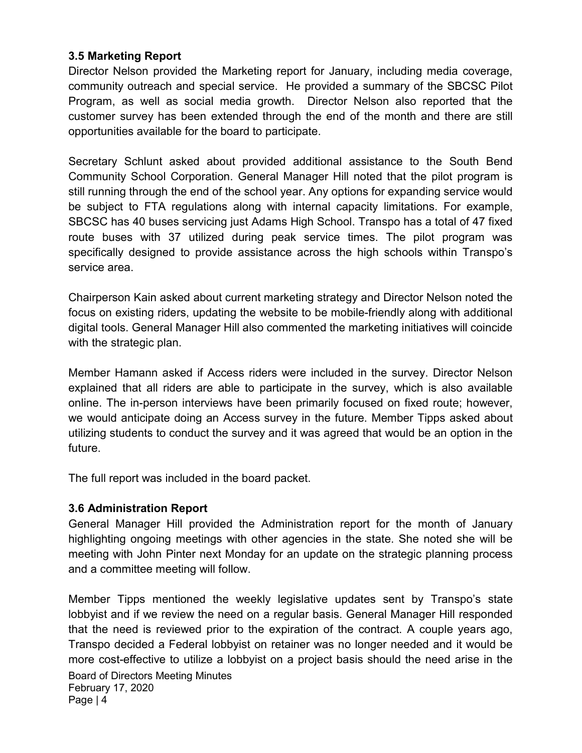## 3.5 Marketing Report

Director Nelson provided the Marketing report for January, including media coverage, community outreach and special service. He provided a summary of the SBCSC Pilot Program, as well as social media growth. Director Nelson also reported that the customer survey has been extended through the end of the month and there are still opportunities available for the board to participate.

Secretary Schlunt asked about provided additional assistance to the South Bend Community School Corporation. General Manager Hill noted that the pilot program is still running through the end of the school year. Any options for expanding service would be subject to FTA regulations along with internal capacity limitations. For example, SBCSC has 40 buses servicing just Adams High School. Transpo has a total of 47 fixed route buses with 37 utilized during peak service times. The pilot program was specifically designed to provide assistance across the high schools within Transpo's service area.

Chairperson Kain asked about current marketing strategy and Director Nelson noted the focus on existing riders, updating the website to be mobile-friendly along with additional digital tools. General Manager Hill also commented the marketing initiatives will coincide with the strategic plan.

Member Hamann asked if Access riders were included in the survey. Director Nelson explained that all riders are able to participate in the survey, which is also available online. The in-person interviews have been primarily focused on fixed route; however, we would anticipate doing an Access survey in the future. Member Tipps asked about utilizing students to conduct the survey and it was agreed that would be an option in the future.

The full report was included in the board packet.

### 3.6 Administration Report

General Manager Hill provided the Administration report for the month of January highlighting ongoing meetings with other agencies in the state. She noted she will be meeting with John Pinter next Monday for an update on the strategic planning process and a committee meeting will follow.

Board of Directors Meeting Minutes February 17, 2020 Page | 4 Member Tipps mentioned the weekly legislative updates sent by Transpo's state lobbyist and if we review the need on a regular basis. General Manager Hill responded that the need is reviewed prior to the expiration of the contract. A couple years ago, Transpo decided a Federal lobbyist on retainer was no longer needed and it would be more cost-effective to utilize a lobbyist on a project basis should the need arise in the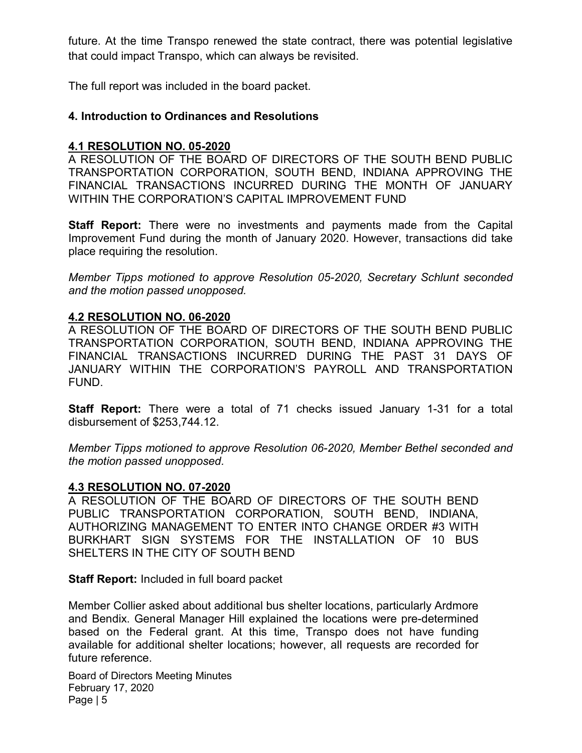future. At the time Transpo renewed the state contract, there was potential legislative that could impact Transpo, which can always be revisited.

The full report was included in the board packet.

#### 4. Introduction to Ordinances and Resolutions

#### 4.1 RESOLUTION NO. 05-2020

A RESOLUTION OF THE BOARD OF DIRECTORS OF THE SOUTH BEND PUBLIC TRANSPORTATION CORPORATION, SOUTH BEND, INDIANA APPROVING THE FINANCIAL TRANSACTIONS INCURRED DURING THE MONTH OF JANUARY WITHIN THE CORPORATION'S CAPITAL IMPROVEMENT FUND

Staff Report: There were no investments and payments made from the Capital Improvement Fund during the month of January 2020. However, transactions did take place requiring the resolution.

Member Tipps motioned to approve Resolution 05-2020, Secretary Schlunt seconded and the motion passed unopposed.

#### 4.2 RESOLUTION NO. 06-2020

A RESOLUTION OF THE BOARD OF DIRECTORS OF THE SOUTH BEND PUBLIC TRANSPORTATION CORPORATION, SOUTH BEND, INDIANA APPROVING THE FINANCIAL TRANSACTIONS INCURRED DURING THE PAST 31 DAYS OF JANUARY WITHIN THE CORPORATION'S PAYROLL AND TRANSPORTATION FUND.

Staff Report: There were a total of 71 checks issued January 1-31 for a total disbursement of \$253,744.12.

Member Tipps motioned to approve Resolution 06-2020, Member Bethel seconded and the motion passed unopposed.

#### 4.3 RESOLUTION NO. 07-2020

A RESOLUTION OF THE BOARD OF DIRECTORS OF THE SOUTH BEND PUBLIC TRANSPORTATION CORPORATION, SOUTH BEND, INDIANA, AUTHORIZING MANAGEMENT TO ENTER INTO CHANGE ORDER #3 WITH BURKHART SIGN SYSTEMS FOR THE INSTALLATION OF 10 BUS SHELTERS IN THE CITY OF SOUTH BEND

Staff Report: Included in full board packet

Member Collier asked about additional bus shelter locations, particularly Ardmore and Bendix. General Manager Hill explained the locations were pre-determined based on the Federal grant. At this time, Transpo does not have funding available for additional shelter locations; however, all requests are recorded for future reference.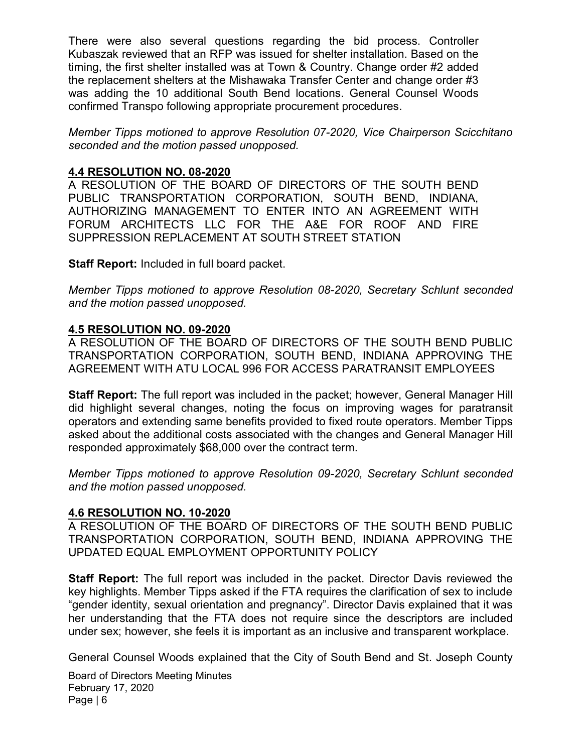There were also several questions regarding the bid process. Controller Kubaszak reviewed that an RFP was issued for shelter installation. Based on the timing, the first shelter installed was at Town & Country. Change order #2 added the replacement shelters at the Mishawaka Transfer Center and change order #3 was adding the 10 additional South Bend locations. General Counsel Woods confirmed Transpo following appropriate procurement procedures.

Member Tipps motioned to approve Resolution 07-2020, Vice Chairperson Scicchitano seconded and the motion passed unopposed.

### 4.4 RESOLUTION NO. 08-2020

A RESOLUTION OF THE BOARD OF DIRECTORS OF THE SOUTH BEND PUBLIC TRANSPORTATION CORPORATION, SOUTH BEND, INDIANA, AUTHORIZING MANAGEMENT TO ENTER INTO AN AGREEMENT WITH FORUM ARCHITECTS LLC FOR THE A&E FOR ROOF AND FIRE SUPPRESSION REPLACEMENT AT SOUTH STREET STATION

Staff Report: Included in full board packet.

Member Tipps motioned to approve Resolution 08-2020, Secretary Schlunt seconded and the motion passed unopposed.

## 4.5 RESOLUTION NO. 09-2020

A RESOLUTION OF THE BOARD OF DIRECTORS OF THE SOUTH BEND PUBLIC TRANSPORTATION CORPORATION, SOUTH BEND, INDIANA APPROVING THE AGREEMENT WITH ATU LOCAL 996 FOR ACCESS PARATRANSIT EMPLOYEES

Staff Report: The full report was included in the packet; however, General Manager Hill did highlight several changes, noting the focus on improving wages for paratransit operators and extending same benefits provided to fixed route operators. Member Tipps asked about the additional costs associated with the changes and General Manager Hill responded approximately \$68,000 over the contract term.

Member Tipps motioned to approve Resolution 09-2020, Secretary Schlunt seconded and the motion passed unopposed.

### 4.6 RESOLUTION NO. 10-2020

A RESOLUTION OF THE BOARD OF DIRECTORS OF THE SOUTH BEND PUBLIC TRANSPORTATION CORPORATION, SOUTH BEND, INDIANA APPROVING THE UPDATED EQUAL EMPLOYMENT OPPORTUNITY POLICY

Staff Report: The full report was included in the packet. Director Davis reviewed the key highlights. Member Tipps asked if the FTA requires the clarification of sex to include "gender identity, sexual orientation and pregnancy". Director Davis explained that it was her understanding that the FTA does not require since the descriptors are included under sex; however, she feels it is important as an inclusive and transparent workplace.

General Counsel Woods explained that the City of South Bend and St. Joseph County